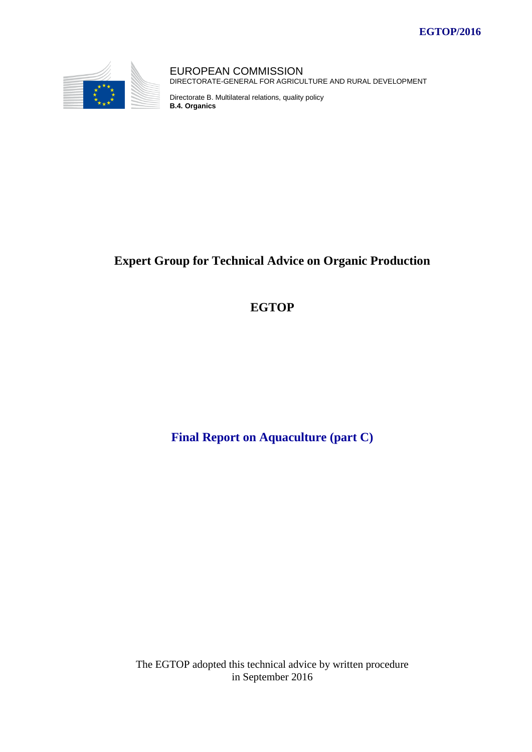

EUROPEAN COMMISSION DIRECTORATE-GENERAL FOR AGRICULTURE AND RURAL DEVELOPMENT

Directorate B. Multilateral relations, quality policy **B.4. Organics**

# **Expert Group for Technical Advice on Organic Production**

## **EGTOP**

**Final Report on Aquaculture (part C)**

The EGTOP adopted this technical advice by written procedure in September 2016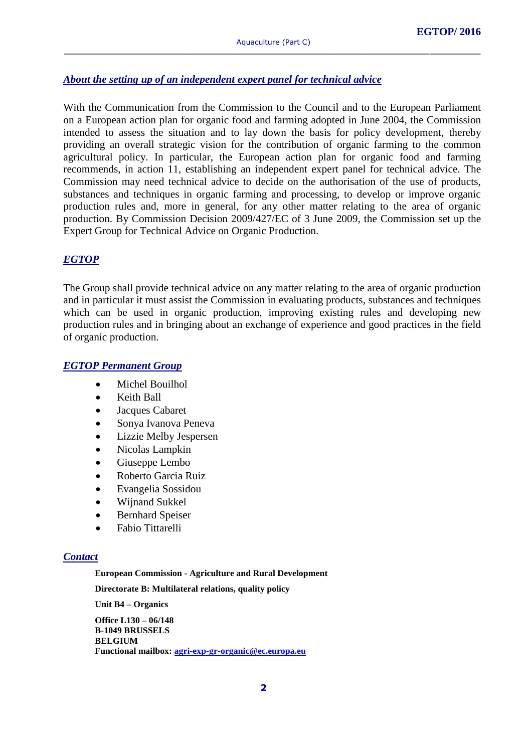## *About the setting up of an independent expert panel for technical advice*

With the Communication from the Commission to the Council and to the European Parliament on a European action plan for organic food and farming adopted in June 2004, the Commission intended to assess the situation and to lay down the basis for policy development, thereby providing an overall strategic vision for the contribution of organic farming to the common agricultural policy. In particular, the European action plan for organic food and farming recommends, in action 11, establishing an independent expert panel for technical advice. The Commission may need technical advice to decide on the authorisation of the use of products, substances and techniques in organic farming and processing, to develop or improve organic production rules and, more in general, for any other matter relating to the area of organic production. By Commission Decision 2009/427/EC of 3 June 2009, the Commission set up the Expert Group for Technical Advice on Organic Production.

#### *EGTOP*

The Group shall provide technical advice on any matter relating to the area of organic production and in particular it must assist the Commission in evaluating products, substances and techniques which can be used in organic production, improving existing rules and developing new production rules and in bringing about an exchange of experience and good practices in the field of organic production.

#### *EGTOP Permanent Group*

- Michel Bouilhol
- Keith Ball
- Jacques Cabaret
- Sonya Ivanova Peneva
- Lizzie Melby Jespersen
- Nicolas Lampkin
- Giuseppe Lembo
- Roberto Garcia Ruiz
- Evangelia Sossidou
- Wijnand Sukkel
- Bernhard Speiser
- Fabio Tittarelli

#### *Contact*

**European Commission - Agriculture and Rural Development**

**Directorate B: Multilateral relations, quality policy**

**Unit B4 – Organics** 

**Office L130 – 06/148 B-1049 BRUSSELS BELGIUM Functional mailbox: [agri-exp-gr-organic@ec.europa.eu](mailto:agri-exp-gr-organic@ec.europa.eu)**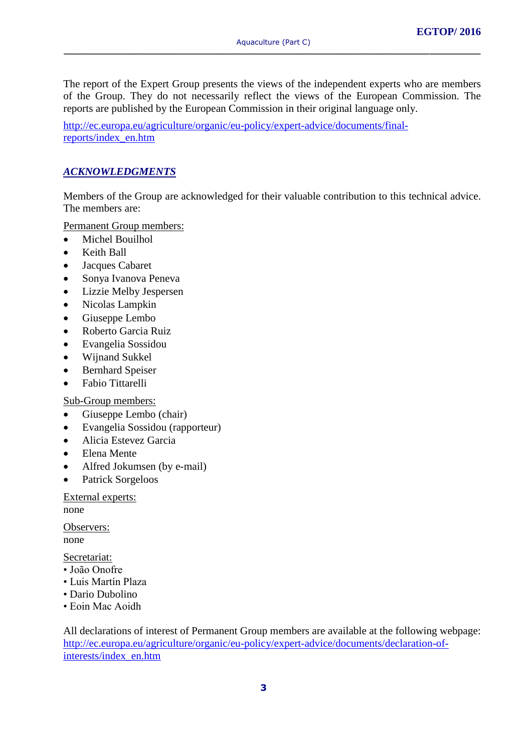The report of the Expert Group presents the views of the independent experts who are members of the Group. They do not necessarily reflect the views of the European Commission. The reports are published by the European Commission in their original language only.

[http://ec.europa.eu/agriculture/organic/eu-policy/expert-advice/documents/final](http://ec.europa.eu/agriculture/organic/eu-policy/expert-advice/documents/final-reports/index_en.htm)[reports/index\\_en.htm](http://ec.europa.eu/agriculture/organic/eu-policy/expert-advice/documents/final-reports/index_en.htm)

#### *ACKNOWLEDGMENTS*

Members of the Group are acknowledged for their valuable contribution to this technical advice. The members are:

Permanent Group members:

- Michel Bouilhol
- Keith Ball
- Jacques Cabaret
- Sonya Ivanova Peneva
- Lizzie Melby Jespersen
- Nicolas Lampkin
- Giuseppe Lembo
- Roberto Garcia Ruiz
- Evangelia Sossidou
- Wijnand Sukkel
- Bernhard Speiser
- Fabio Tittarelli

Sub-Group members:

- Giuseppe Lembo (chair)
- Evangelia Sossidou (rapporteur)
- Alicia Estevez Garcia
- Elena Mente
- Alfred Jokumsen (by e-mail)
- Patrick Sorgeloos

External experts:

none

Observers: none

Secretariat:

- João Onofre
- Luis Martín Plaza
- Dario Dubolino
- Eoin Mac Aoidh

All declarations of interest of Permanent Group members are available at the following webpage: [http://ec.europa.eu/agriculture/organic/eu-policy/expert-advice/documents/declaration-of](http://ec.europa.eu/agriculture/organic/eu-policy/expert-advice/documents/declaration-of-interests/index_en.htm)[interests/index\\_en.htm](http://ec.europa.eu/agriculture/organic/eu-policy/expert-advice/documents/declaration-of-interests/index_en.htm)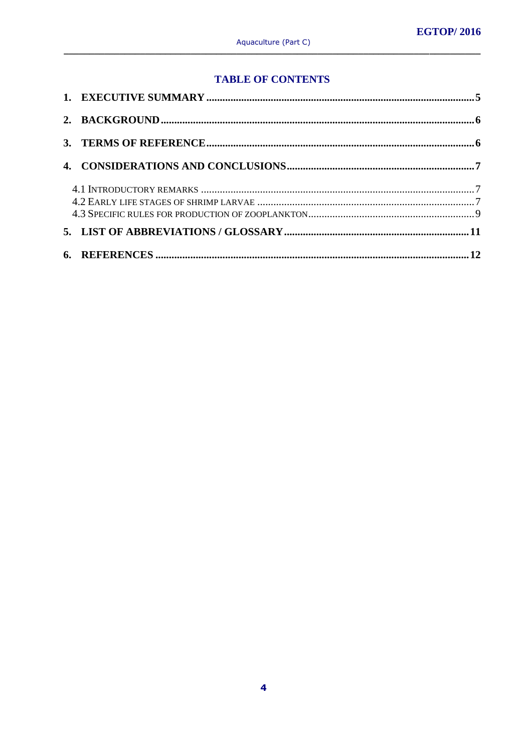## **TABLE OF CONTENTS**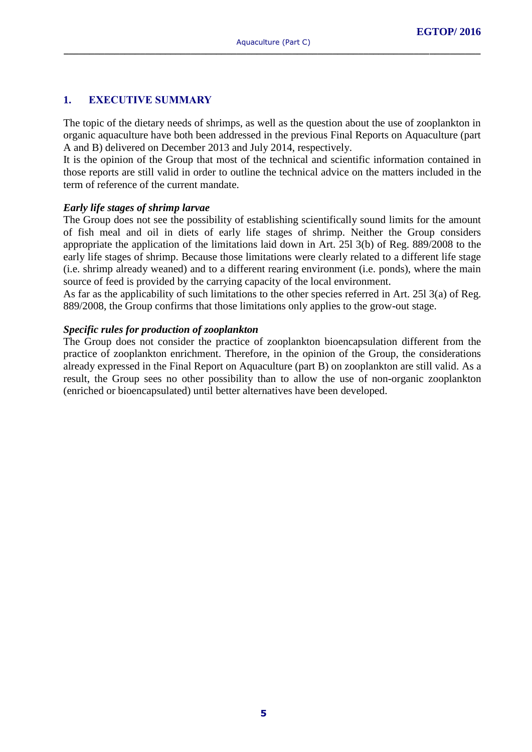#### **1. EXECUTIVE SUMMARY**

The topic of the dietary needs of shrimps, as well as the question about the use of zooplankton in organic aquaculture have both been addressed in the previous Final Reports on Aquaculture (part A and B) delivered on December 2013 and July 2014, respectively.

It is the opinion of the Group that most of the technical and scientific information contained in those reports are still valid in order to outline the technical advice on the matters included in the term of reference of the current mandate.

#### *Early life stages of shrimp larvae*

The Group does not see the possibility of establishing scientifically sound limits for the amount of fish meal and oil in diets of early life stages of shrimp. Neither the Group considers appropriate the application of the limitations laid down in Art. 25l 3(b) of Reg. 889/2008 to the early life stages of shrimp. Because those limitations were clearly related to a different life stage (i.e. shrimp already weaned) and to a different rearing environment (i.e. ponds), where the main source of feed is provided by the carrying capacity of the local environment.

As far as the applicability of such limitations to the other species referred in Art. 25l 3(a) of Reg. 889/2008, the Group confirms that those limitations only applies to the grow-out stage.

#### *Specific rules for production of zooplankton*

The Group does not consider the practice of zooplankton bioencapsulation different from the practice of zooplankton enrichment. Therefore, in the opinion of the Group, the considerations already expressed in the Final Report on Aquaculture (part B) on zooplankton are still valid. As a result, the Group sees no other possibility than to allow the use of non-organic zooplankton (enriched or bioencapsulated) until better alternatives have been developed.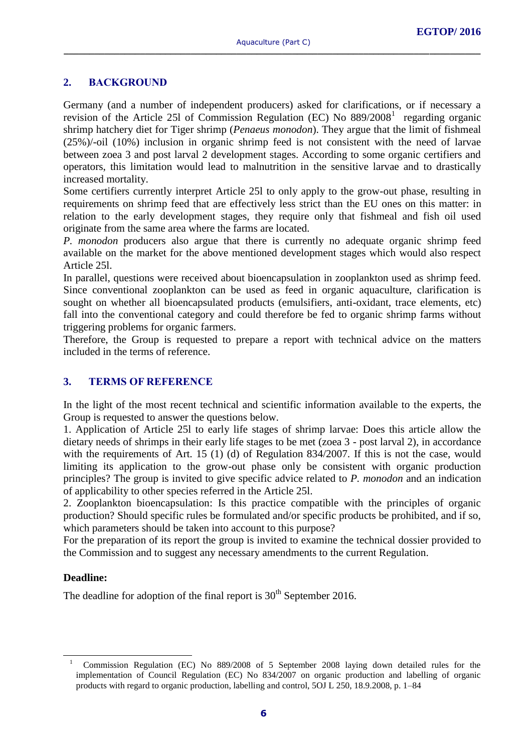#### **2. BACKGROUND**

Germany (and a number of independent producers) asked for clarifications, or if necessary a revision of the Article 251 of Commission Regulation (EC) No 889/2008<sup>1</sup> regarding organic shrimp hatchery diet for Tiger shrimp (*Penaeus monodon*). They argue that the limit of fishmeal (25%)/-oil (10%) inclusion in organic shrimp feed is not consistent with the need of larvae between zoea 3 and post larval 2 development stages. According to some organic certifiers and operators, this limitation would lead to malnutrition in the sensitive larvae and to drastically increased mortality.

Some certifiers currently interpret Article 25l to only apply to the grow-out phase, resulting in requirements on shrimp feed that are effectively less strict than the EU ones on this matter: in relation to the early development stages, they require only that fishmeal and fish oil used originate from the same area where the farms are located.

*P. monodon* producers also argue that there is currently no adequate organic shrimp feed available on the market for the above mentioned development stages which would also respect Article 25l.

In parallel, questions were received about bioencapsulation in zooplankton used as shrimp feed. Since conventional zooplankton can be used as feed in organic aquaculture, clarification is sought on whether all bioencapsulated products (emulsifiers, anti-oxidant, trace elements, etc) fall into the conventional category and could therefore be fed to organic shrimp farms without triggering problems for organic farmers.

Therefore, the Group is requested to prepare a report with technical advice on the matters included in the terms of reference.

### **3. TERMS OF REFERENCE**

In the light of the most recent technical and scientific information available to the experts, the Group is requested to answer the questions below.

1. Application of Article 25l to early life stages of shrimp larvae: Does this article allow the dietary needs of shrimps in their early life stages to be met (zoea 3 - post larval 2), in accordance with the requirements of Art. 15 (1) (d) of Regulation 834/2007. If this is not the case, would limiting its application to the grow-out phase only be consistent with organic production principles? The group is invited to give specific advice related to *P. monodon* and an indication of applicability to other species referred in the Article 25l.

2. Zooplankton bioencapsulation: Is this practice compatible with the principles of organic production? Should specific rules be formulated and/or specific products be prohibited, and if so, which parameters should be taken into account to this purpose?

For the preparation of its report the group is invited to examine the technical dossier provided to the Commission and to suggest any necessary amendments to the current Regulation.

#### **Deadline:**

-

The deadline for adoption of the final report is  $30<sup>th</sup>$  September 2016.

<sup>1</sup> Commission Regulation (EC) No 889/2008 of 5 September 2008 laying down detailed rules for the implementation of Council Regulation (EC) No 834/2007 on organic production and labelling of organic products with regard to organic production, labelling and control, 5OJ L 250, 18.9.2008, p. 1–84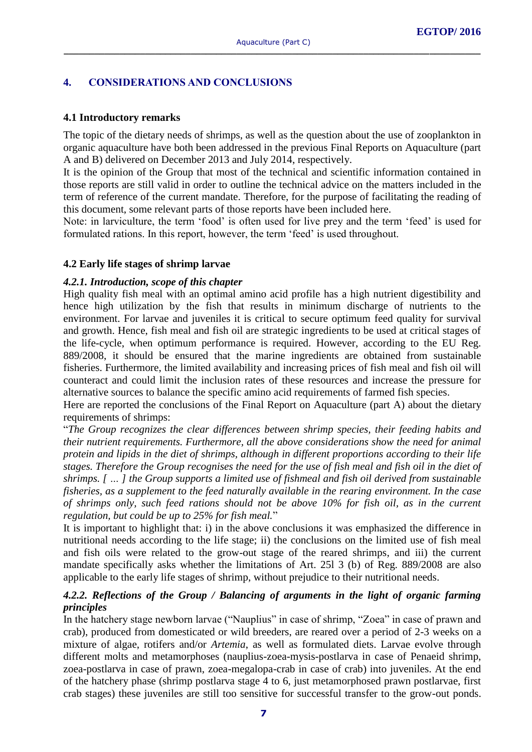#### **4. CONSIDERATIONS AND CONCLUSIONS**

#### **4.1 Introductory remarks**

The topic of the dietary needs of shrimps, as well as the question about the use of zooplankton in organic aquaculture have both been addressed in the previous Final Reports on Aquaculture (part A and B) delivered on December 2013 and July 2014, respectively.

It is the opinion of the Group that most of the technical and scientific information contained in those reports are still valid in order to outline the technical advice on the matters included in the term of reference of the current mandate. Therefore, for the purpose of facilitating the reading of this document, some relevant parts of those reports have been included here.

Note: in larviculture, the term 'food' is often used for live prey and the term 'feed' is used for formulated rations. In this report, however, the term 'feed' is used throughout.

#### **4.2 Early life stages of shrimp larvae**

#### *4.2.1. Introduction, scope of this chapter*

High quality fish meal with an optimal amino acid profile has a high nutrient digestibility and hence high utilization by the fish that results in minimum discharge of nutrients to the environment. For larvae and juveniles it is critical to secure optimum feed quality for survival and growth. Hence, fish meal and fish oil are strategic ingredients to be used at critical stages of the life-cycle, when optimum performance is required. However, according to the EU Reg. 889/2008, it should be ensured that the marine ingredients are obtained from sustainable fisheries. Furthermore, the limited availability and increasing prices of fish meal and fish oil will counteract and could limit the inclusion rates of these resources and increase the pressure for alternative sources to balance the specific amino acid requirements of farmed fish species.

Here are reported the conclusions of the Final Report on Aquaculture (part A) about the dietary requirements of shrimps:

"*The Group recognizes the clear differences between shrimp species, their feeding habits and their nutrient requirements. Furthermore, all the above considerations show the need for animal protein and lipids in the diet of shrimps, although in different proportions according to their life stages. Therefore the Group recognises the need for the use of fish meal and fish oil in the diet of shrimps. [ … ] the Group supports a limited use of fishmeal and fish oil derived from sustainable fisheries, as a supplement to the feed naturally available in the rearing environment. In the case of shrimps only, such feed rations should not be above 10% for fish oil, as in the current regulation, but could be up to 25% for fish meal.*"

It is important to highlight that: i) in the above conclusions it was emphasized the difference in nutritional needs according to the life stage; ii) the conclusions on the limited use of fish meal and fish oils were related to the grow-out stage of the reared shrimps, and iii) the current mandate specifically asks whether the limitations of Art. 25l 3 (b) of Reg. 889/2008 are also applicable to the early life stages of shrimp, without prejudice to their nutritional needs.

#### *4.2.2. Reflections of the Group / Balancing of arguments in the light of organic farming principles*

In the hatchery stage newborn larvae ("Nauplius" in case of shrimp, "Zoea" in case of prawn and crab), produced from domesticated or wild breeders, are reared over a period of 2-3 weeks on a mixture of algae, rotifers and/or *Artemia*, as well as formulated diets. Larvae evolve through different molts and metamorphoses (nauplius-zoea-mysis-postlarva in case of Penaeid shrimp, zoea-postlarva in case of prawn, zoea-megalopa-crab in case of crab) into juveniles. At the end of the hatchery phase (shrimp postlarva stage 4 to 6, just metamorphosed prawn postlarvae, first crab stages) these juveniles are still too sensitive for successful transfer to the grow-out ponds.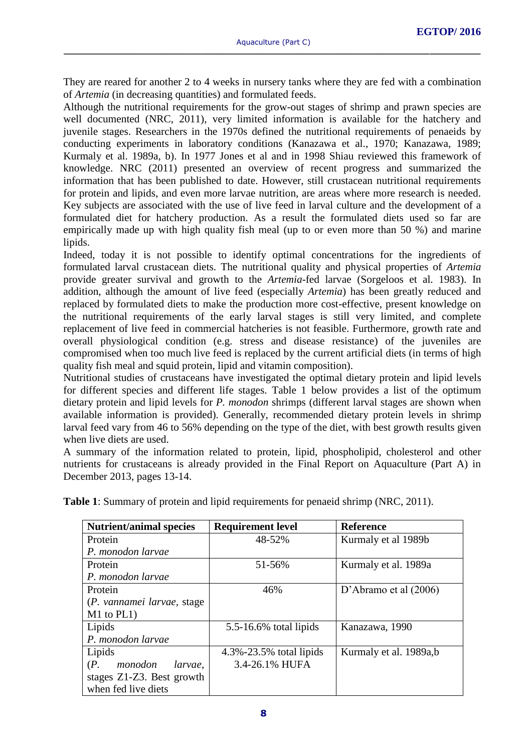They are reared for another 2 to 4 weeks in nursery tanks where they are fed with a combination of *Artemia* (in decreasing quantities) and formulated feeds.

Although the nutritional requirements for the grow-out stages of shrimp and prawn species are well documented (NRC, 2011), very limited information is available for the hatchery and juvenile stages. Researchers in the 1970s defined the nutritional requirements of penaeids by conducting experiments in laboratory conditions (Kanazawa et al., 1970; Kanazawa, 1989; Kurmaly et al. 1989a, b). In 1977 Jones et al and in 1998 Shiau reviewed this framework of knowledge. NRC (2011) presented an overview of recent progress and summarized the information that has been published to date. However, still crustacean nutritional requirements for protein and lipids, and even more larvae nutrition, are areas where more research is needed. Key subjects are associated with the use of live feed in larval culture and the development of a formulated diet for hatchery production. As a result the formulated diets used so far are empirically made up with high quality fish meal (up to or even more than 50 %) and marine lipids.

Indeed, today it is not possible to identify optimal concentrations for the ingredients of formulated larval crustacean diets. The nutritional quality and physical properties of *Artemia* provide greater survival and growth to the *Artemia*-fed larvae (Sorgeloos et al. 1983). In addition, although the amount of live feed (especially *Artemia*) has been greatly reduced and replaced by formulated diets to make the production more cost-effective, present knowledge on the nutritional requirements of the early larval stages is still very limited, and complete replacement of live feed in commercial hatcheries is not feasible. Furthermore, growth rate and overall physiological condition (e.g. stress and disease resistance) of the juveniles are compromised when too much live feed is replaced by the current artificial diets (in terms of high quality fish meal and squid protein, lipid and vitamin composition).

Nutritional studies of crustaceans have investigated the optimal dietary protein and lipid levels for different species and different life stages. Table 1 below provides a list of the optimum dietary protein and lipid levels for *P. monodon* shrimps (different larval stages are shown when available information is provided). Generally, recommended dietary protein levels in shrimp larval feed vary from 46 to 56% depending on the type of the diet, with best growth results given when live diets are used.

A summary of the information related to protein, lipid, phospholipid, cholesterol and other nutrients for crustaceans is already provided in the Final Report on Aquaculture (Part A) in December 2013, pages 13-14.

**Table 1**: Summary of protein and lipid requirements for penaeid shrimp (NRC, 2011).

| <b>Nutrient/animal species</b>      | <b>Requirement level</b>      | <b>Reference</b>        |
|-------------------------------------|-------------------------------|-------------------------|
| Protein                             | 48-52%                        | Kurmaly et al 1989b     |
| P. monodon larvae                   |                               |                         |
| Protein                             | 51-56%                        | Kurmaly et al. 1989a    |
| P. monodon larvae                   |                               |                         |
| Protein                             | 46%                           | D'Abramo et al $(2006)$ |
| (P. vannamei larvae, stage          |                               |                         |
| $M1$ to $PL1$ )                     |                               |                         |
| Lipids                              | $5.5 - 16.6\%$ total lipids   | Kanazawa, 1990          |
| P. monodon larvae                   |                               |                         |
| Lipids                              | $4.3\% - 23.5\%$ total lipids | Kurmaly et al. 1989a,b  |
| $(P_{\cdot})$<br>monodon<br>larvae, | 3.4-26.1% HUFA                |                         |
| stages Z1-Z3. Best growth           |                               |                         |
| when fed live diets                 |                               |                         |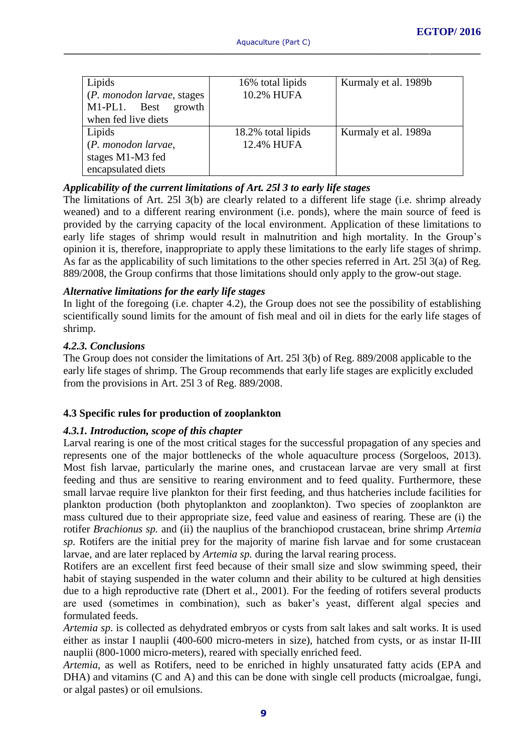| Lipids<br>(P. monodon larvae, stages<br>M1-PL1. Best<br>growth<br>when fed live diets | 16% total lipids<br>10.2% HUFA   | Kurmaly et al. 1989b |
|---------------------------------------------------------------------------------------|----------------------------------|----------------------|
| Lipids<br>(P. monodon larvae,<br>stages M1-M3 fed<br>encapsulated diets               | 18.2% total lipids<br>12.4% HUFA | Kurmaly et al. 1989a |

#### *Applicability of the current limitations of Art. 25l 3 to early life stages*

The limitations of Art. 25l 3(b) are clearly related to a different life stage (i.e. shrimp already weaned) and to a different rearing environment (i.e. ponds), where the main source of feed is provided by the carrying capacity of the local environment. Application of these limitations to early life stages of shrimp would result in malnutrition and high mortality. In the Group's opinion it is, therefore, inappropriate to apply these limitations to the early life stages of shrimp. As far as the applicability of such limitations to the other species referred in Art. 25l 3(a) of Reg. 889/2008, the Group confirms that those limitations should only apply to the grow-out stage.

#### *Alternative limitations for the early life stages*

In light of the foregoing (i.e. chapter 4.2), the Group does not see the possibility of establishing scientifically sound limits for the amount of fish meal and oil in diets for the early life stages of shrimp.

#### *4.2.3. Conclusions*

The Group does not consider the limitations of Art. 25l 3(b) of Reg. 889/2008 applicable to the early life stages of shrimp. The Group recommends that early life stages are explicitly excluded from the provisions in Art. 25l 3 of Reg. 889/2008.

#### **4.3 Specific rules for production of zooplankton**

#### *4.3.1. Introduction, scope of this chapter*

Larval rearing is one of the most critical stages for the successful propagation of any species and represents one of the major bottlenecks of the whole aquaculture process (Sorgeloos, 2013). Most fish larvae, particularly the marine ones, and crustacean larvae are very small at first feeding and thus are sensitive to rearing environment and to feed quality. Furthermore, these small larvae require live plankton for their first feeding, and thus hatcheries include facilities for plankton production (both phytoplankton and zooplankton). Two species of zooplankton are mass cultured due to their appropriate size, feed value and easiness of rearing. These are (i) the rotifer *Brachionus sp.* and (ii) the nauplius of the branchiopod crustacean, brine shrimp *Artemia sp.* Rotifers are the initial prey for the majority of marine fish larvae and for some crustacean larvae, and are later replaced by *Artemia sp.* during the larval rearing process.

Rotifers are an excellent first feed because of their small size and slow swimming speed, their habit of staying suspended in the water column and their ability to be cultured at high densities due to a high reproductive rate (Dhert et al., 2001). For the feeding of rotifers several products are used (sometimes in combination), such as baker's yeast, different algal species and formulated feeds.

*Artemia sp*. is collected as dehydrated embryos or cysts from salt lakes and salt works. It is used either as instar I nauplii (400-600 micro-meters in size), hatched from cysts, or as instar II-III nauplii (800-1000 micro-meters), reared with specially enriched feed.

*Artemia*, as well as Rotifers, need to be enriched in highly unsaturated fatty acids (EPA and DHA) and vitamins (C and A) and this can be done with single cell products (microalgae, fungi, or algal pastes) or oil emulsions.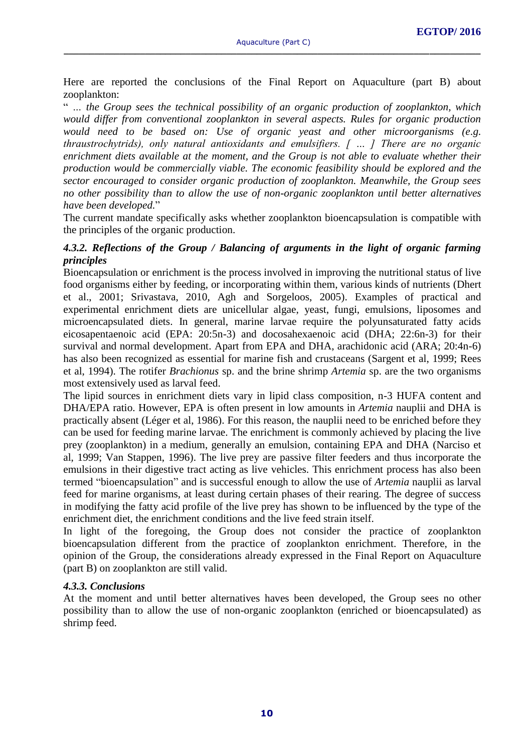Here are reported the conclusions of the Final Report on Aquaculture (part B) about zooplankton:

" *… the Group sees the technical possibility of an organic production of zooplankton, which would differ from conventional zooplankton in several aspects. Rules for organic production would need to be based on: Use of organic yeast and other microorganisms (e.g. thraustrochytrids), only natural antioxidants and emulsifiers. [ … ] There are no organic enrichment diets available at the moment, and the Group is not able to evaluate whether their production would be commercially viable. The economic feasibility should be explored and the sector encouraged to consider organic production of zooplankton. Meanwhile, the Group sees no other possibility than to allow the use of non-organic zooplankton until better alternatives have been developed.*"

The current mandate specifically asks whether zooplankton bioencapsulation is compatible with the principles of the organic production.

#### *4.3.2. Reflections of the Group / Balancing of arguments in the light of organic farming principles*

Bioencapsulation or enrichment is the process involved in improving the nutritional status of live food organisms either by feeding, or incorporating within them, various kinds of nutrients (Dhert et al., 2001; Srivastava, 2010, Agh and Sorgeloos, 2005). Examples of practical and experimental enrichment diets are unicellular algae, yeast, fungi, emulsions, liposomes and microencapsulated diets. In general, marine larvae require the polyunsaturated fatty acids eicosapentaenoic acid (EPA: 20:5n-3) and docosahexaenoic acid (DHA; 22:6n-3) for their survival and normal development. Apart from EPA and DHA, arachidonic acid (ARA; 20:4n-6) has also been recognized as essential for marine fish and crustaceans (Sargent et al, 1999; Rees et al, 1994). The rotifer *Brachionus* sp. and the brine shrimp *Artemia* sp. are the two organisms most extensively used as larval feed.

The lipid sources in enrichment diets vary in lipid class composition, n-3 HUFA content and DHA/EPA ratio. However, EPA is often present in low amounts in *Artemia* nauplii and DHA is practically absent (Léger et al, 1986). For this reason, the nauplii need to be enriched before they can be used for feeding marine larvae. The enrichment is commonly achieved by placing the live prey (zooplankton) in a medium, generally an emulsion, containing EPA and DHA (Narciso et al, 1999; Van Stappen, 1996). The live prey are passive filter feeders and thus incorporate the emulsions in their digestive tract acting as live vehicles. This enrichment process has also been termed "bioencapsulation" and is successful enough to allow the use of *Artemia* nauplii as larval feed for marine organisms, at least during certain phases of their rearing. The degree of success in modifying the fatty acid profile of the live prey has shown to be influenced by the type of the enrichment diet, the enrichment conditions and the live feed strain itself.

In light of the foregoing, the Group does not consider the practice of zooplankton bioencapsulation different from the practice of zooplankton enrichment. Therefore, in the opinion of the Group, the considerations already expressed in the Final Report on Aquaculture (part B) on zooplankton are still valid.

#### *4.3.3. Conclusions*

At the moment and until better alternatives haves been developed, the Group sees no other possibility than to allow the use of non-organic zooplankton (enriched or bioencapsulated) as shrimp feed.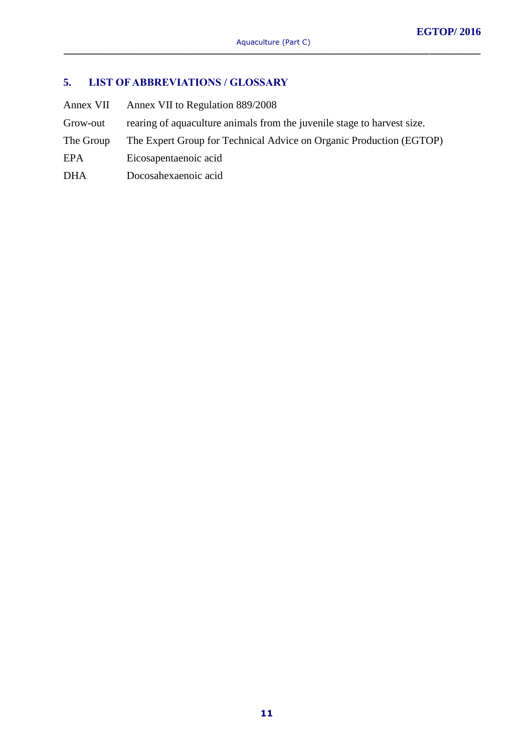## **5. LIST OF ABBREVIATIONS / GLOSSARY**

Annex VII Annex VII to Regulation 889/2008 Grow-out rearing of aquaculture animals from the juvenile stage to harvest size. The Group The Expert Group for Technical Advice on Organic Production (EGTOP) EPA Eicosapentaenoic acid DHA Docosahexaenoic acid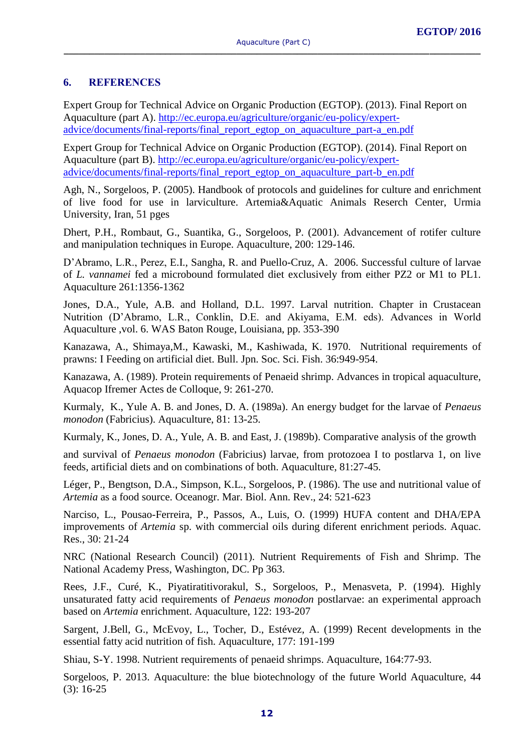#### **6. REFERENCES**

Expert Group for Technical Advice on Organic Production (EGTOP). (2013). Final Report on Aquaculture (part A). [http://ec.europa.eu/agriculture/organic/eu-policy/expert](http://ec.europa.eu/agriculture/organic/eu-policy/expert-advice/documents/final-reports/final_report_egtop_on_aquaculture_part-a_en.pdf)[advice/documents/final-reports/final\\_report\\_egtop\\_on\\_aquaculture\\_part-a\\_en.pdf](http://ec.europa.eu/agriculture/organic/eu-policy/expert-advice/documents/final-reports/final_report_egtop_on_aquaculture_part-a_en.pdf)

Expert Group for Technical Advice on Organic Production (EGTOP). (2014). Final Report on Aquaculture (part B). [http://ec.europa.eu/agriculture/organic/eu-policy/expert](http://ec.europa.eu/agriculture/organic/eu-policy/expert-advice/documents/final-reports/final_report_egtop_on_aquaculture_part-b_en.pdf)advice/documents/final-reports/final\_report egtop\_on\_aquaculture\_part-b\_en.pdf

Agh, N., Sorgeloos, P. (2005). Handbook of protocols and guidelines for culture and enrichment of live food for use in larviculture. Artemia&Aquatic Animals Reserch Center, Urmia University, Iran, 51 pges

Dhert, P.H., Rombaut, G., Suantika, G., Sorgeloos, P. (2001). Advancement of rotifer culture and manipulation techniques in Europe. Aquaculture, 200: 129-146.

D'Abramo, L.R., Perez, E.I., Sangha, R. and Puello-Cruz, A. 2006. Successful culture of larvae of *L. vannamei* fed a microbound formulated diet exclusively from either PZ2 or M1 to PL1. Aquaculture 261:1356-1362

Jones, D.A., Yule, A.B. and Holland, D.L. 1997. Larval nutrition. Chapter in Crustacean Nutrition (D'Abramo, L.R., Conklin, D.E. and Akiyama, E.M. eds). Advances in World Aquaculture ,vol. 6. WAS Baton Rouge, Louisiana, pp. 353-390

Kanazawa, A., Shimaya,M., Kawaski, M., Kashiwada, K. 1970. Nutritional requirements of prawns: I Feeding on artificial diet. Bull. Jpn. Soc. Sci. Fish. 36:949-954.

Kanazawa, A. (1989). Protein requirements of Penaeid shrimp. Advances in tropical aquaculture, Aquacop Ifremer Actes de Colloque, 9: 261-270.

Kurmaly, K., Yule A. B. and Jones, D. A. (1989a). An energy budget for the larvae of *Penaeus monodon* (Fabricius). Aquaculture, 81: 13-25.

Kurmaly, K., Jones, D. A., Yule, A. B. and East, J. (1989b). Comparative analysis of the growth

and survival of *Penaeus monodon* (Fabricius) larvae, from protozoea I to postlarva 1, on live feeds, artificial diets and on combinations of both. Aquaculture, 81:27-45.

Léger, P., Bengtson, D.A., Simpson, K.L., Sorgeloos, P. (1986). The use and nutritional value of *Artemia* as a food source. Oceanogr. Mar. Biol. Ann. Rev., 24: 521-623

Narciso, L., Pousao-Ferreira, P., Passos, A., Luis, O. (1999) HUFA content and DHA/EPA improvements of *Artemia* sp. with commercial oils during diferent enrichment periods. Aquac. Res., 30: 21-24

NRC (National Research Council) (2011). Nutrient Requirements of Fish and Shrimp. The National Academy Press, Washington, DC. Pp 363.

Rees, J.F., Curé, K., Piyatiratitivorakul, S., Sorgeloos, P., Menasveta, P. (1994). Highly unsaturated fatty acid requirements of *Penaeus monodon* postlarvae: an experimental approach based on *Artemia* enrichment. Aquaculture, 122: 193-207

Sargent, J.Bell, G., McEvoy, L., Tocher, D., Estévez, A. (1999) Recent developments in the essential fatty acid nutrition of fish. Aquaculture, 177: 191-199

Shiau, S-Y. 1998. Nutrient requirements of penaeid shrimps. Aquaculture, 164:77-93.

Sorgeloos, P. 2013. Aquaculture: the blue biotechnology of the future World Aquaculture, 44 (3): 16-25